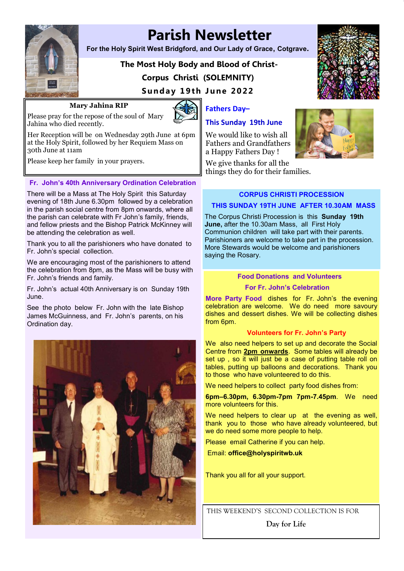

30th June at 11am

 **Parish Newsletter** 

**For the Holy Spirit West Bridgford, and Our Lady of Grace, Cotgrave.**

# **The Most Holy Body and Blood of Christ-Corpus Christi (SOLEMNITY)**

**Sunday 19th June 2022** 

## **Mary Jahina RIP**

Please pray for the repose of the soul of Mary



**Fathers Day–**

# **This Sunday 19th June**

We would like to wish all Fathers and Grandfathers a Happy Fathers Day !

We give thanks for all the things they do for their families.





**CORPUS CHRISTI PROCESSION** 

## **THIS SUNDAY 19TH JUNE AFTER 10.30AM MASS**

The Corpus Christi Procession is this **Sunday 19th June,** after the 10.30am Mass, all First Holy Communion children will take part with their parents. Parishioners are welcome to take part in the procession. More Stewards would be welcome and parishioners saying the Rosary.

#### **Food Donations and Volunteers**

#### **For Fr. John's Celebration**

**More Party Food** dishes for Fr. John's the evening celebration are welcome. We do need more savoury dishes and dessert dishes. We will be collecting dishes from 6pm.

#### **Volunteers for Fr. John's Party**

We also need helpers to set up and decorate the Social Centre from **2pm onwards**. Some tables will already be set up, so it will just be a case of putting table roll on tables, putting up balloons and decorations. Thank you to those who have volunteered to do this.

We need helpers to collect party food dishes from:

**6pm–6.30pm, 6.30pm-7pm 7pm-7.45pm**. We need more volunteers for this.

We need helpers to clear up at the evening as well, thank you to those who have already volunteered, but we do need some more people to help.

Please email Catherine if you can help.

Email: **office@holyspiritwb.uk**

Thank you all for all your support.

THIS WEEKEND'S SECOND COLLECTION IS FOR

**Day for Life**

Jahina who died recently. Her Reception will be on Wednesday 29th June at 6pm at the Holy Spirit, followed by her Requiem Mass on

Please keep her family in your prayers.

#### **Fr. John's 40th Anniversary Ordination Celebration**

There will be a Mass at The Holy Spirit this Saturday evening of 18th June 6.30pm followed by a celebration in the parish social centre from 8pm onwards, where all the parish can celebrate with Fr John's family, friends, and fellow priests and the Bishop Patrick McKinney will be attending the celebration as well.

Thank you to all the parishioners who have donated to Fr. John's special collection.

We are encouraging most of the parishioners to attend the celebration from 8pm, as the Mass will be busy with Fr. John's friends and family.

Fr. John's actual 40th Anniversary is on Sunday 19th June.

See the photo below Fr. John with the late Bishop James McGuinness, and Fr. John's parents, on his Ordination day.

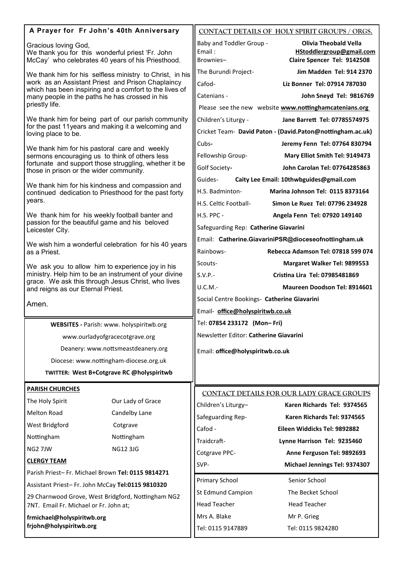| A Prayer for Fr John's 40th Anniversary                                                                                                                                                                                   |                                                       |                                                 | CONTACT DETAILS OF HOLY SPIRIT GROUPS / ORGS.                                           |
|---------------------------------------------------------------------------------------------------------------------------------------------------------------------------------------------------------------------------|-------------------------------------------------------|-------------------------------------------------|-----------------------------------------------------------------------------------------|
| Gracious loving God,<br>We thank you for this wonderful priest 'Fr. John<br>McCay' who celebrates 40 years of his Priesthood.                                                                                             |                                                       | Baby and Toddler Group -<br>Email:<br>Brownies- | <b>Olivia Theobald Vella</b><br>HStoddlergroup@gmail.com<br>Claire Spencer Tel: 9142508 |
| We thank him for his selfless ministry to Christ, in his<br>work as an Assistant Priest and Prison Chaplaincy<br>which has been inspiring and a comfort to the lives of<br>many people in the paths he has crossed in his |                                                       | The Burundi Project-                            | Jim Madden Tel: 914 2370                                                                |
|                                                                                                                                                                                                                           |                                                       | Cafod-                                          | Liz Bonner Tel: 07914 787030                                                            |
|                                                                                                                                                                                                                           |                                                       | Catenians -                                     | John Sneyd Tel: 9816769                                                                 |
| priestly life.                                                                                                                                                                                                            |                                                       |                                                 | Please see the new website www.nottinghamcatenians.org                                  |
| We thank him for being part of our parish community<br>for the past 11 years and making it a welcoming and<br>loving place to be.                                                                                         |                                                       | Children's Liturgy -                            | Jane Barrett Tel: 07785574975                                                           |
|                                                                                                                                                                                                                           |                                                       |                                                 | Cricket Team- David Paton - (David.Paton@nottingham.ac.uk)                              |
| We thank him for his pastoral care and weekly<br>sermons encouraging us to think of others less<br>fortunate and support those struggling, whether it be<br>those in prison or the wider community.                       |                                                       | Cubs-                                           | Jeremy Fenn Tel: 07764 830794                                                           |
|                                                                                                                                                                                                                           |                                                       | Fellowship Group-                               | Mary Elliot Smith Tel: 9149473                                                          |
|                                                                                                                                                                                                                           |                                                       | Golf Society-                                   | John Carolan Tel: 07764285863                                                           |
|                                                                                                                                                                                                                           |                                                       | Guides-                                         | Caity Lee Email: 10thwbguides@gmail.com                                                 |
| We thank him for his kindness and compassion and<br>continued dedication to Priesthood for the past forty                                                                                                                 |                                                       | H.S. Badminton-                                 | Marina Johnson Tel: 0115 8373164                                                        |
| years.                                                                                                                                                                                                                    |                                                       | H.S. Celtic Football-                           | Simon Le Ruez Tel: 07796 234928                                                         |
| We thank him for his weekly football banter and<br>passion for the beautiful game and his beloved<br>Leicester City.                                                                                                      |                                                       | H.S. PPC -                                      | Angela Fenn Tel: 07920 149140                                                           |
|                                                                                                                                                                                                                           |                                                       | Safeguarding Rep: Catherine Giavarini           |                                                                                         |
|                                                                                                                                                                                                                           | We wish him a wonderful celebration for his 40 years  |                                                 | Email: Catherine.GiavariniPSR@dioceseofnottingham.uk                                    |
| as a Priest.                                                                                                                                                                                                              |                                                       | Rainbows-                                       | Rebecca Adamson Tel: 07818 599 074                                                      |
| We ask you to allow him to experience joy in his                                                                                                                                                                          |                                                       | Scouts-                                         | Margaret Walker Tel: 9899553                                                            |
|                                                                                                                                                                                                                           | ministry. Help him to be an instrument of your divine | $S.V.P.-$                                       | Cristina Lira Tel: 07985481869                                                          |
| grace. We ask this through Jesus Christ, who lives<br>and reigns as our Eternal Priest.                                                                                                                                   |                                                       | U.C.M.-                                         | Maureen Doodson Tel: 8914601                                                            |
|                                                                                                                                                                                                                           |                                                       | Social Centre Bookings- Catherine Giavarini     |                                                                                         |
| Amen.                                                                                                                                                                                                                     |                                                       | Email- office@holyspiritwb.co.uk                |                                                                                         |
|                                                                                                                                                                                                                           | WEBSITES - Parish: www. holyspiritwb.org              | Tel: 07854 233172 (Mon-Fri)                     |                                                                                         |
|                                                                                                                                                                                                                           | www.ourladyofgracecotgrave.org                        | Newsletter Editor: Catherine Giavarini          |                                                                                         |
|                                                                                                                                                                                                                           | Deanery: www.nottsmeastdeanery.org                    | Email: office@holyspiritwb.co.uk                |                                                                                         |
|                                                                                                                                                                                                                           | Diocese: www.nottingham-diocese.org.uk                |                                                 |                                                                                         |
|                                                                                                                                                                                                                           | TWITTER: West B+Cotgrave RC @holyspiritwb             |                                                 |                                                                                         |
|                                                                                                                                                                                                                           |                                                       |                                                 |                                                                                         |
| <b>PARISH CHURCHES</b>                                                                                                                                                                                                    |                                                       |                                                 | CONTACT DETAILS FOR OUR LADY GRACE GROUPS                                               |
| The Holy Spirit                                                                                                                                                                                                           | Our Lady of Grace                                     | Children's Liturgy-                             | Karen Richards Tel: 9374565                                                             |
| <b>Melton Road</b>                                                                                                                                                                                                        | Candelby Lane                                         | Safeguarding Rep-                               | Karen Richards Tel: 9374565                                                             |
| West Bridgford                                                                                                                                                                                                            | Cotgrave                                              | Cafod -                                         | Eileen Widdicks Tel: 9892882                                                            |
| Nottingham                                                                                                                                                                                                                | Nottingham                                            | Traidcraft-                                     | Lynne Harrison Tel: 9235460                                                             |
| NG2 7JW                                                                                                                                                                                                                   | <b>NG12 3JG</b>                                       | Cotgrave PPC-                                   | Anne Ferguson Tel: 9892693                                                              |
| <b>CLERGY TEAM</b>                                                                                                                                                                                                        |                                                       | SVP-                                            | Michael Jennings Tel: 9374307                                                           |
| Parish Priest-Fr. Michael Brown Tel: 0115 9814271                                                                                                                                                                         |                                                       | Primary School                                  | Senior School                                                                           |
| Assistant Priest-Fr. John McCay Tel:0115 9810320                                                                                                                                                                          |                                                       | St Edmund Campion                               | The Becket School                                                                       |
| 29 Charnwood Grove, West Bridgford, Nottingham NG2<br>7NT. Email Fr. Michael or Fr. John at;                                                                                                                              |                                                       | <b>Head Teacher</b>                             | <b>Head Teacher</b>                                                                     |
| frmichael@holyspiritwb.org<br>frjohn@holyspiritwb.org                                                                                                                                                                     |                                                       | Mrs A. Blake                                    | Mr P. Grieg                                                                             |
|                                                                                                                                                                                                                           |                                                       | Tel: 0115 9147889                               | Tel: 0115 9824280                                                                       |
|                                                                                                                                                                                                                           |                                                       |                                                 |                                                                                         |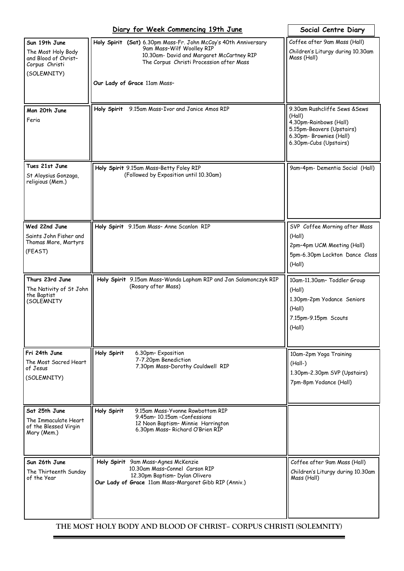|                                                                                              | Social Centre Diary                                                                                                                                                                                                   |                                                                                                                                                     |
|----------------------------------------------------------------------------------------------|-----------------------------------------------------------------------------------------------------------------------------------------------------------------------------------------------------------------------|-----------------------------------------------------------------------------------------------------------------------------------------------------|
| Sun 19th June<br>The Most Holy Body<br>and Blood of Christ-<br>Corpus Christi<br>(SOLEMNITY) | Holy Spirit (Sat) 6.30pm Mass-Fr. John McCay's 40th Anniversary<br>9am Mass-Wilf Woolley RIP<br>10.30am- David and Margaret McCartney RIP<br>The Corpus Christi Procession after Mass<br>Our Lady of Grace 11am Mass- | Coffee after 9am Mass (Hall)<br>Children's Liturgy during 10.30am<br>Mass (Hall)                                                                    |
| Mon 20th June<br>Feria                                                                       | 9.15am Mass-Ivor and Janice Amos RIP<br>Holy Spirit                                                                                                                                                                   | 9.30am Rushcliffe Sews & Sews<br>(Hall)<br>4.30pm-Rainbows (Hall)<br>5.15pm-Beavers (Upstairs)<br>6.30pm- Brownies (Hall)<br>6.30pm-Cubs (Upstairs) |
| Tues 21st June<br>St Aloysius Gonzaga,<br>religious (Mem.)                                   | Holy Spirit 9.15am Mass-Betty Foley RIP<br>(Followed by Exposition until 10.30am)                                                                                                                                     | 9am-4pm- Dementia Social (Hall)                                                                                                                     |
| Wed 22nd June<br>Saints John Fisher and<br>Thomas More, Martyrs<br>(FEAST)                   | Holy Spirit 9.15am Mass- Anne Scanlon RIP                                                                                                                                                                             | SVP Coffee Morning after Mass<br>(Hall)<br>2pm-4pm UCM Meeting (Hall)<br>5pm-6.30pm Lockton Dance Class<br>(Hall)                                   |
| Thurs 23rd June<br>The Nativity of St John<br>the Baptist<br>(SOLEMNITY                      | Holy Spirit 9.15am Mass-Wanda Lapham RIP and Jan Salamonczyk RIP<br>(Rosary after Mass)                                                                                                                               | 10am-11.30am- Toddler Group<br>(Hall)<br>1.30pm-2pm Yodance Seniors<br>(Hall)<br>7.15pm-9.15pm Scouts<br>(Hall)                                     |
| Fri 24th June<br>The Most Sacred Heart<br>of Jesus<br>(SOLEMNITY)                            | Holy Spirit<br>6.30pm-Exposition<br>7-7.20pm Benediction<br>7.30pm Mass-Dorothy Couldwell RIP                                                                                                                         | 10am-2pm Yoga Training<br>$(Hall-)$<br>1.30pm-2.30pm SVP (Upstairs)<br>7pm-8pm Yodance (Hall)                                                       |
| Sat 25th June<br>The Immaculate Heart<br>of the Blessed Virgin<br>Mary (Mem.)                | Holy Spirit<br>9.15am Mass-Yvonne Rowbottom RIP<br>9.45am-10.15am-Confessions<br>12 Noon Baptism- Minnie Harrington<br>6.30pm Mass-Richard O'Brien RIP                                                                |                                                                                                                                                     |
| Sun 26th June<br>The Thirteenth Sunday<br>of the Year                                        | Holy Spirit 9am Mass-Agnes McKenzie<br>10.30am Mass-Connel Carson RIP<br>12.30pm Baptism- Dylan Olivero<br>Our Lady of Grace 11am Mass-Margaret Gibb RIP (Anniv.)                                                     | Coffee after 9am Mass (Hall)<br>Children's Liturgy during 10.30am<br>Mass (Hall)                                                                    |

**THE MOST HOLY BODY AND BLOOD OF CHRIST– CORPUS CHRISTI (SOLEMNITY)**